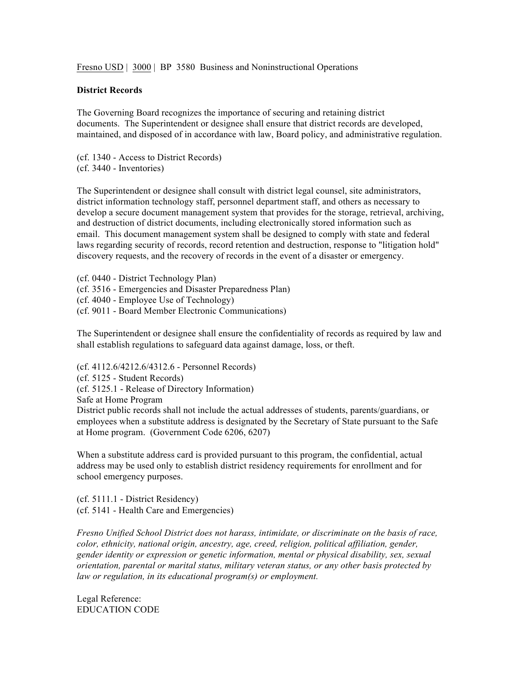Fresno USD | 3000 | BP 3580 Business and Noninstructional Operations

## **District Records**

The Governing Board recognizes the importance of securing and retaining district documents. The Superintendent or designee shall ensure that district records are developed, maintained, and disposed of in accordance with law, Board policy, and administrative regulation.

(cf. 1340 - Access to District Records) (cf. 3440 - Inventories)

The Superintendent or designee shall consult with district legal counsel, site administrators, district information technology staff, personnel department staff, and others as necessary to develop a secure document management system that provides for the storage, retrieval, archiving, and destruction of district documents, including electronically stored information such as email. This document management system shall be designed to comply with state and federal laws regarding security of records, record retention and destruction, response to "litigation hold" discovery requests, and the recovery of records in the event of a disaster or emergency.

(cf. 0440 - District Technology Plan) (cf. 3516 - Emergencies and Disaster Preparedness Plan) (cf. 4040 - Employee Use of Technology) (cf. 9011 - Board Member Electronic Communications)

The Superintendent or designee shall ensure the confidentiality of records as required by law and shall establish regulations to safeguard data against damage, loss, or theft.

(cf. 4112.6/4212.6/4312.6 - Personnel Records)

(cf. 5125 - Student Records)

(cf. 5125.1 - Release of Directory Information)

Safe at Home Program

District public records shall not include the actual addresses of students, parents/guardians, or employees when a substitute address is designated by the Secretary of State pursuant to the Safe at Home program. (Government Code 6206, 6207)

When a substitute address card is provided pursuant to this program, the confidential, actual address may be used only to establish district residency requirements for enrollment and for school emergency purposes.

(cf. 5111.1 - District Residency) (cf. 5141 - Health Care and Emergencies)

*Fresno Unified School District does not harass, intimidate, or discriminate on the basis of race, color, ethnicity, national origin, ancestry, age, creed, religion, political affiliation, gender, gender identity or expression or genetic information, mental or physical disability, sex, sexual orientation, parental or marital status, military veteran status, or any other basis protected by law or regulation, in its educational program(s) or employment.*

Legal Reference: EDUCATION CODE